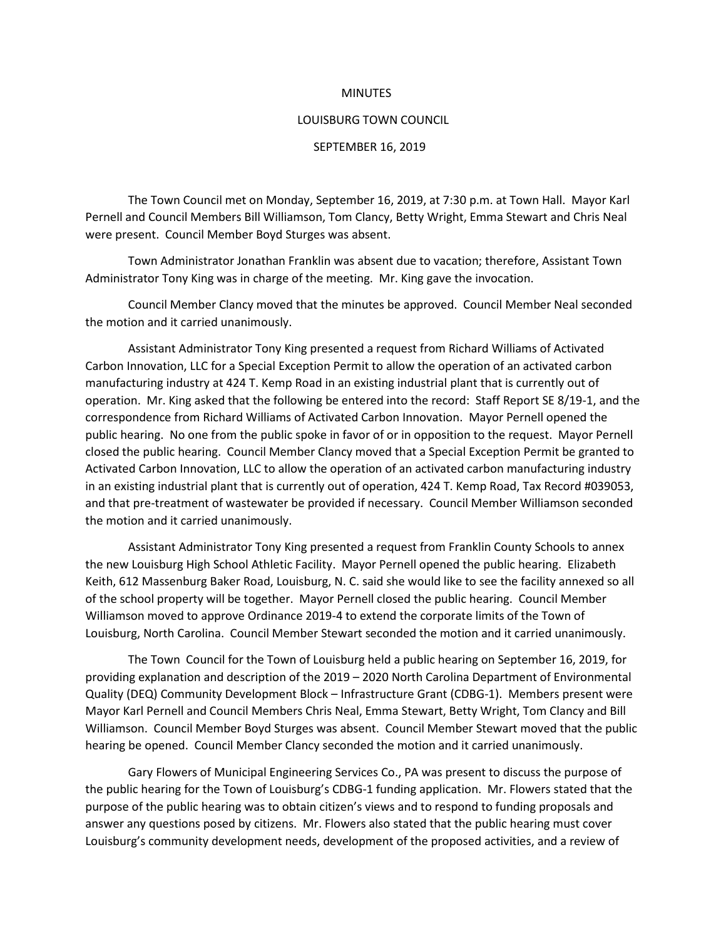## **MINUTES**

## LOUISBURG TOWN COUNCIL

## SEPTEMBER 16, 2019

The Town Council met on Monday, September 16, 2019, at 7:30 p.m. at Town Hall. Mayor Karl Pernell and Council Members Bill Williamson, Tom Clancy, Betty Wright, Emma Stewart and Chris Neal were present. Council Member Boyd Sturges was absent.

Town Administrator Jonathan Franklin was absent due to vacation; therefore, Assistant Town Administrator Tony King was in charge of the meeting. Mr. King gave the invocation.

Council Member Clancy moved that the minutes be approved. Council Member Neal seconded the motion and it carried unanimously.

Assistant Administrator Tony King presented a request from Richard Williams of Activated Carbon Innovation, LLC for a Special Exception Permit to allow the operation of an activated carbon manufacturing industry at 424 T. Kemp Road in an existing industrial plant that is currently out of operation. Mr. King asked that the following be entered into the record: Staff Report SE 8/19-1, and the correspondence from Richard Williams of Activated Carbon Innovation. Mayor Pernell opened the public hearing. No one from the public spoke in favor of or in opposition to the request. Mayor Pernell closed the public hearing. Council Member Clancy moved that a Special Exception Permit be granted to Activated Carbon Innovation, LLC to allow the operation of an activated carbon manufacturing industry in an existing industrial plant that is currently out of operation, 424 T. Kemp Road, Tax Record #039053, and that pre-treatment of wastewater be provided if necessary. Council Member Williamson seconded the motion and it carried unanimously.

Assistant Administrator Tony King presented a request from Franklin County Schools to annex the new Louisburg High School Athletic Facility. Mayor Pernell opened the public hearing. Elizabeth Keith, 612 Massenburg Baker Road, Louisburg, N. C. said she would like to see the facility annexed so all of the school property will be together. Mayor Pernell closed the public hearing. Council Member Williamson moved to approve Ordinance 2019-4 to extend the corporate limits of the Town of Louisburg, North Carolina. Council Member Stewart seconded the motion and it carried unanimously.

The Town Council for the Town of Louisburg held a public hearing on September 16, 2019, for providing explanation and description of the 2019 – 2020 North Carolina Department of Environmental Quality (DEQ) Community Development Block – Infrastructure Grant (CDBG-1). Members present were Mayor Karl Pernell and Council Members Chris Neal, Emma Stewart, Betty Wright, Tom Clancy and Bill Williamson. Council Member Boyd Sturges was absent. Council Member Stewart moved that the public hearing be opened. Council Member Clancy seconded the motion and it carried unanimously.

Gary Flowers of Municipal Engineering Services Co., PA was present to discuss the purpose of the public hearing for the Town of Louisburg's CDBG-1 funding application. Mr. Flowers stated that the purpose of the public hearing was to obtain citizen's views and to respond to funding proposals and answer any questions posed by citizens. Mr. Flowers also stated that the public hearing must cover Louisburg's community development needs, development of the proposed activities, and a review of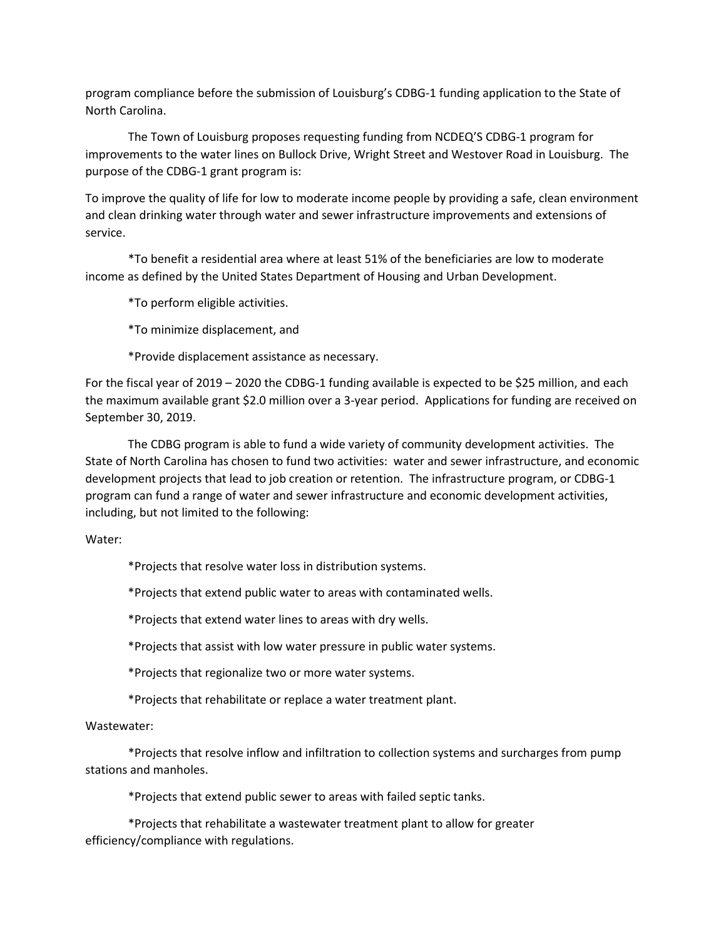program compliance before the submission of Louisburg's CDBG-1 funding application to the State of North Carolina.

The Town of Louisburg proposes requesting funding from NCDEQ'S CDBG-1 program for improvements to the water lines on Bullock Drive, Wright Street and Westover Road in Louisburg. The purpose of the CDBG-1 grant program is:

To improve the quality of life for low to moderate income people by providing a safe, clean environment and clean drinking water through water and sewer infrastructure improvements and extensions of service.

\*To benefit a residential area where at least 51% of the beneficiaries are low to moderate income as defined by the United States Department of Housing and Urban Development.

\*To perform eligible activities.

\*To minimize displacement, and

\*Provide displacement assistance as necessary.

For the fiscal year of 2019 – 2020 the CDBG-1 funding available is expected to be \$25 million, and each the maximum available grant \$2.0 million over a 3-year period. Applications for funding are received on September 30, 2019.

The CDBG program is able to fund a wide variety of community development activities. The State of North Carolina has chosen to fund two activities: water and sewer infrastructure, and economic development projects that lead to job creation or retention. The infrastructure program, or CDBG-1 program can fund a range of water and sewer infrastructure and economic development activities, including, but not limited to the following:

Water:

\*Projects that resolve water loss in distribution systems.

\*Projects that extend public water to areas with contaminated wells.

\*Projects that extend water lines to areas with dry wells.

\*Projects that assist with low water pressure in public water systems.

\*Projects that regionalize two or more water systems.

\*Projects that rehabilitate or replace a water treatment plant.

Wastewater:

\*Projects that resolve inflow and infiltration to collection systems and surcharges from pump stations and manholes.

\*Projects that extend public sewer to areas with failed septic tanks.

\*Projects that rehabilitate a wastewater treatment plant to allow for greater efficiency/compliance with regulations.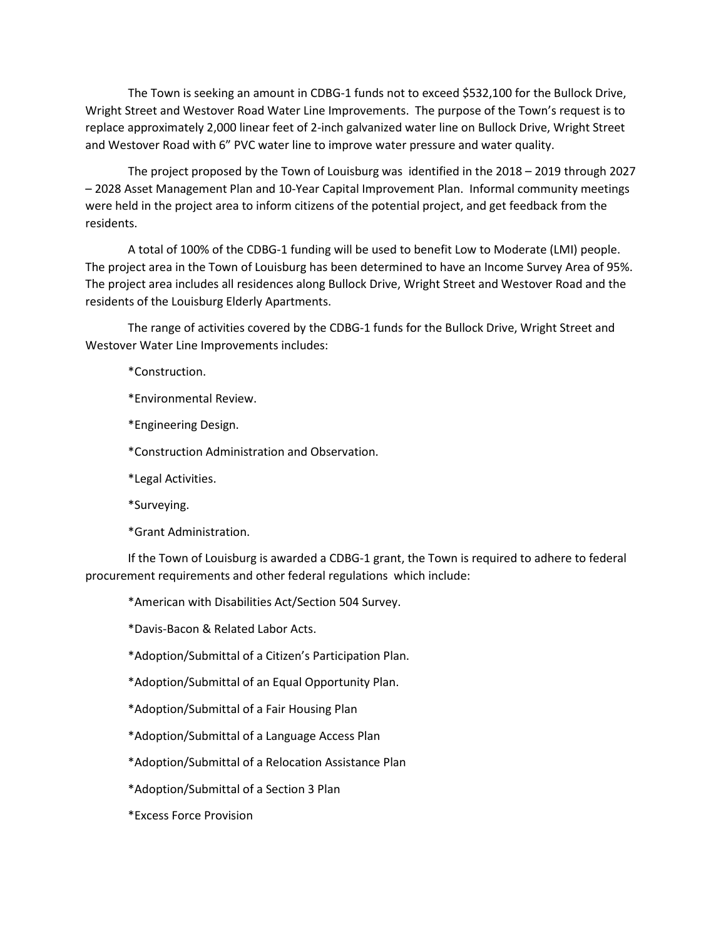The Town is seeking an amount in CDBG-1 funds not to exceed \$532,100 for the Bullock Drive, Wright Street and Westover Road Water Line Improvements. The purpose of the Town's request is to replace approximately 2,000 linear feet of 2-inch galvanized water line on Bullock Drive, Wright Street and Westover Road with 6" PVC water line to improve water pressure and water quality.

The project proposed by the Town of Louisburg was identified in the 2018 – 2019 through 2027 – 2028 Asset Management Plan and 10-Year Capital Improvement Plan. Informal community meetings were held in the project area to inform citizens of the potential project, and get feedback from the residents.

A total of 100% of the CDBG-1 funding will be used to benefit Low to Moderate (LMI) people. The project area in the Town of Louisburg has been determined to have an Income Survey Area of 95%. The project area includes all residences along Bullock Drive, Wright Street and Westover Road and the residents of the Louisburg Elderly Apartments.

The range of activities covered by the CDBG-1 funds for the Bullock Drive, Wright Street and Westover Water Line Improvements includes:

\*Construction.

\*Environmental Review.

\*Engineering Design.

\*Construction Administration and Observation.

\*Legal Activities.

\*Surveying.

\*Grant Administration.

If the Town of Louisburg is awarded a CDBG-1 grant, the Town is required to adhere to federal procurement requirements and other federal regulations which include:

\*American with Disabilities Act/Section 504 Survey.

\*Davis-Bacon & Related Labor Acts.

\*Adoption/Submittal of a Citizen's Participation Plan.

\*Adoption/Submittal of an Equal Opportunity Plan.

\*Adoption/Submittal of a Fair Housing Plan

\*Adoption/Submittal of a Language Access Plan

\*Adoption/Submittal of a Relocation Assistance Plan

\*Adoption/Submittal of a Section 3 Plan

\*Excess Force Provision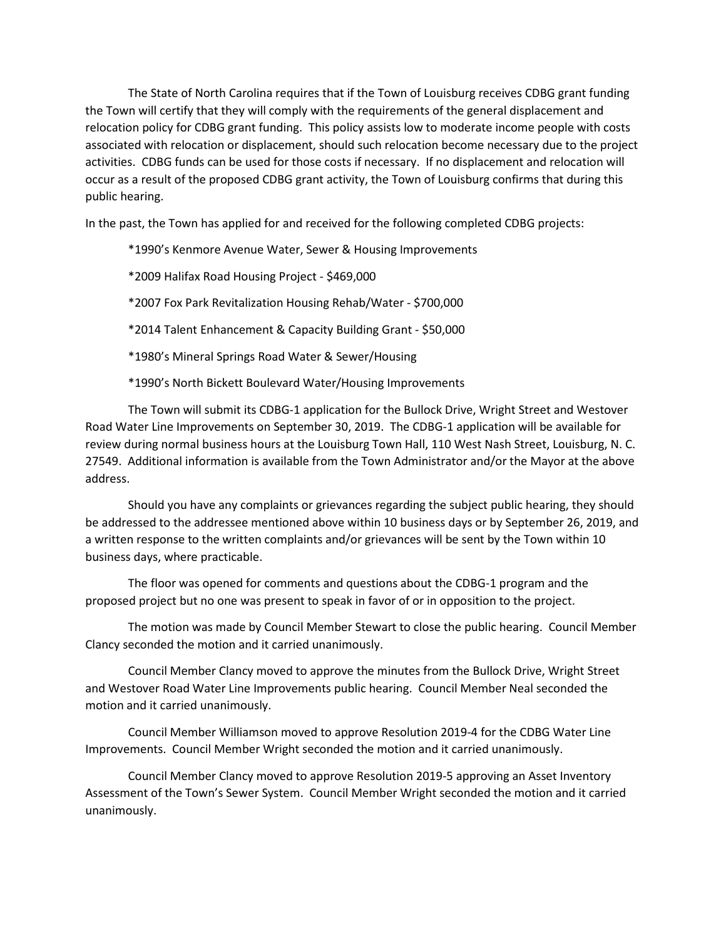The State of North Carolina requires that if the Town of Louisburg receives CDBG grant funding the Town will certify that they will comply with the requirements of the general displacement and relocation policy for CDBG grant funding. This policy assists low to moderate income people with costs associated with relocation or displacement, should such relocation become necessary due to the project activities. CDBG funds can be used for those costs if necessary. If no displacement and relocation will occur as a result of the proposed CDBG grant activity, the Town of Louisburg confirms that during this public hearing.

In the past, the Town has applied for and received for the following completed CDBG projects:

\*1990's Kenmore Avenue Water, Sewer & Housing Improvements

\*2009 Halifax Road Housing Project - \$469,000

\*2007 Fox Park Revitalization Housing Rehab/Water - \$700,000

\*2014 Talent Enhancement & Capacity Building Grant - \$50,000

\*1980's Mineral Springs Road Water & Sewer/Housing

\*1990's North Bickett Boulevard Water/Housing Improvements

The Town will submit its CDBG-1 application for the Bullock Drive, Wright Street and Westover Road Water Line Improvements on September 30, 2019. The CDBG-1 application will be available for review during normal business hours at the Louisburg Town Hall, 110 West Nash Street, Louisburg, N. C. 27549. Additional information is available from the Town Administrator and/or the Mayor at the above address.

Should you have any complaints or grievances regarding the subject public hearing, they should be addressed to the addressee mentioned above within 10 business days or by September 26, 2019, and a written response to the written complaints and/or grievances will be sent by the Town within 10 business days, where practicable.

The floor was opened for comments and questions about the CDBG-1 program and the proposed project but no one was present to speak in favor of or in opposition to the project.

The motion was made by Council Member Stewart to close the public hearing. Council Member Clancy seconded the motion and it carried unanimously.

Council Member Clancy moved to approve the minutes from the Bullock Drive, Wright Street and Westover Road Water Line Improvements public hearing. Council Member Neal seconded the motion and it carried unanimously.

Council Member Williamson moved to approve Resolution 2019-4 for the CDBG Water Line Improvements. Council Member Wright seconded the motion and it carried unanimously.

Council Member Clancy moved to approve Resolution 2019-5 approving an Asset Inventory Assessment of the Town's Sewer System. Council Member Wright seconded the motion and it carried unanimously.